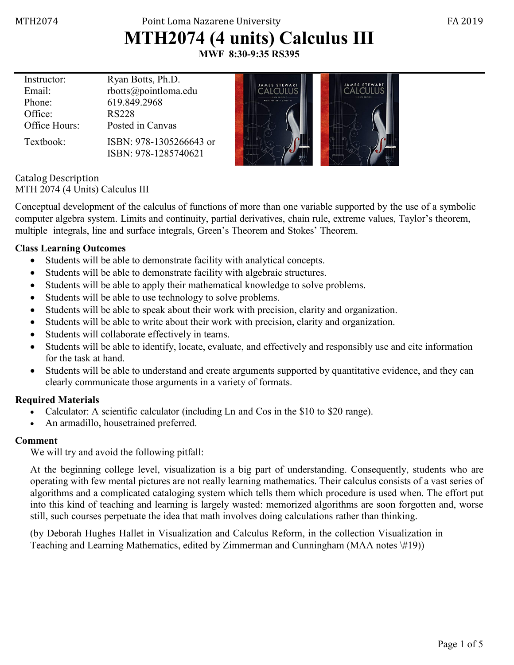## MTH2074 Point Loma Nazarene University FA 2019 **MTH2074 (4 units) Calculus III**

**MWF 8:30-9:35 RS395**

| Instructor:   | Ryan Botts, Ph.D.       | <b>JAMES STEWART</b>                     | <b>JAMES STEWART</b>  |
|---------------|-------------------------|------------------------------------------|-----------------------|
| Email:        | rbotts@pointloma.edu    |                                          |                       |
| Phone:        | 619.849.2968            | FIRMEN FRIEIRN<br>Multivariable Calculus | <b>FIGHTH FRITING</b> |
| Office:       | <b>RS228</b>            |                                          |                       |
| Office Hours: | Posted in Canvas        |                                          |                       |
| Textbook:     | ISBN: 978-1305266643 or |                                          |                       |
|               | ISBN: 978-1285740621    |                                          |                       |

Catalog Description MTH 2074 (4 Units) Calculus III

Conceptual development of the calculus of functions of more than one variable supported by the use of a symbolic computer algebra system. Limits and continuity, partial derivatives, chain rule, extreme values, Taylor's theorem, multiple integrals, line and surface integrals, Green's Theorem and Stokes' Theorem.

#### **Class Learning Outcomes**

- Students will be able to demonstrate facility with analytical concepts.
- Students will be able to demonstrate facility with algebraic structures.
- Students will be able to apply their mathematical knowledge to solve problems.
- Students will be able to use technology to solve problems.
- Students will be able to speak about their work with precision, clarity and organization.
- Students will be able to write about their work with precision, clarity and organization.
- Students will collaborate effectively in teams.
- Students will be able to identify, locate, evaluate, and effectively and responsibly use and cite information for the task at hand.
- Students will be able to understand and create arguments supported by quantitative evidence, and they can clearly communicate those arguments in a variety of formats.

#### **Required Materials**

- Calculator: A scientific calculator (including Ln and Cos in the \$10 to \$20 range).
- An armadillo, housetrained preferred.

#### **Comment**

We will try and avoid the following pitfall:

At the beginning college level, visualization is a big part of understanding. Consequently, students who are operating with few mental pictures are not really learning mathematics. Their calculus consists of a vast series of algorithms and a complicated cataloging system which tells them which procedure is used when. The effort put into this kind of teaching and learning is largely wasted: memorized algorithms are soon forgotten and, worse still, such courses perpetuate the idea that math involves doing calculations rather than thinking.

(by Deborah Hughes Hallet in Visualization and Calculus Reform, in the collection Visualization in Teaching and Learning Mathematics, edited by Zimmerman and Cunningham (MAA notes \#19))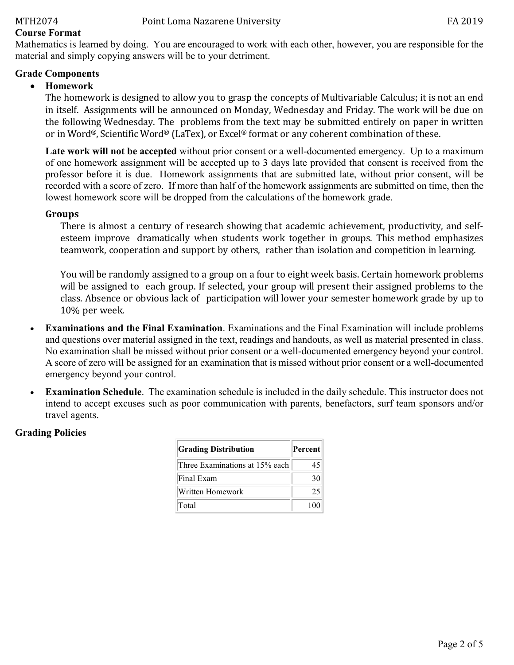#### **Course Format**

Mathematics is learned by doing. You are encouraged to work with each other, however, you are responsible for the material and simply copying answers will be to your detriment.

#### **Grade Components**

### • **Homework**

The homework is designed to allow you to grasp the concepts of Multivariable Calculus; it is not an end in itself. Assignments will be announced on Monday, Wednesday and Friday. The work will be due on the following Wednesday. The problems from the text may be submitted entirely on paper in written or in Word®, Scientific Word® (LaTex), or Excel® format or any coherent combination of these.

**Late work will not be accepted** without prior consent or a well-documented emergency. Up to a maximum of one homework assignment will be accepted up to 3 days late provided that consent is received from the professor before it is due. Homework assignments that are submitted late, without prior consent, will be recorded with a score of zero. If more than half of the homework assignments are submitted on time, then the lowest homework score will be dropped from the calculations of the homework grade.

#### **Groups**

There is almost a century of research showing that academic achievement, productivity, and selfesteem improve dramatically when students work together in groups. This method emphasizes teamwork, cooperation and support by others, rather than isolation and competition in learning.

You will be randomly assigned to a group on a four to eight week basis. Certain homework problems will be assigned to each group. If selected, your group will present their assigned problems to the class. Absence or obvious lack of participation will lower your semester homework grade by up to 10% per week.

- **Examinations and the Final Examination**. Examinations and the Final Examination will include problems and questions over material assigned in the text, readings and handouts, as well as material presented in class. No examination shall be missed without prior consent or a well-documented emergency beyond your control. A score of zero will be assigned for an examination that is missed without prior consent or a well-documented emergency beyond your control.
- **Examination Schedule**. The examination schedule is included in the daily schedule. This instructor does not intend to accept excuses such as poor communication with parents, benefactors, surf team sponsors and/or travel agents.

#### **Grading Policies**

| <b>Grading Distribution</b>    | Percent |
|--------------------------------|---------|
| Three Examinations at 15% each | 45      |
| Final Exam                     | 30      |
| Written Homework               | 25      |
| Total                          | 100     |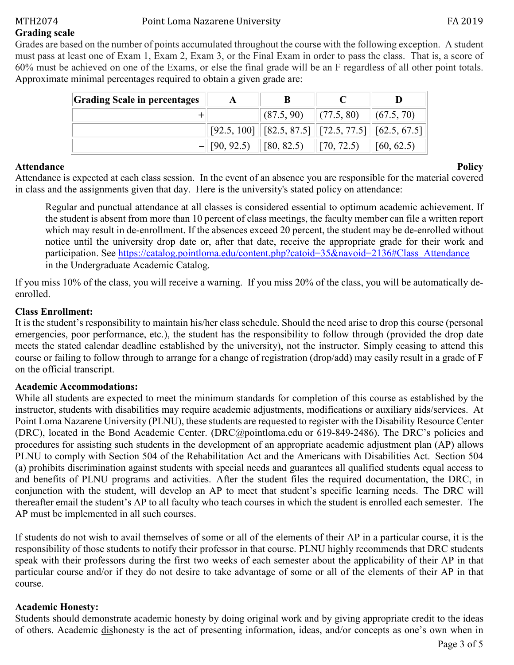### MTH2074 Point Loma Nazarene University **FA 2019**

**Grading scale**

Grades are based on the number of points accumulated throughout the course with the following exception. A student must pass at least one of Exam 1, Exam 2, Exam 3, or the Final Exam in order to pass the class. That is, a score of 60% must be achieved on one of the Exams, or else the final grade will be an F regardless of all other point totals. Approximate minimal percentages required to obtain a given grade are:

| <b>Grading Scale in percentages</b> |                           |                                           |                    |                                 |
|-------------------------------------|---------------------------|-------------------------------------------|--------------------|---------------------------------|
|                                     |                           | $ (87.5, 90)$ $ (77.5, 80)$ $ (67.5, 70)$ |                    |                                 |
|                                     |                           |                                           |                    |                                 |
|                                     | $-$ [90, 92.5] [80, 82.5] |                                           | $\vert$ [70, 72.5) | $\left  60, 62.5 \right\rangle$ |

**Attendance** Policy Attendance is expected at each class session. In the event of an absence you are responsible for the material covered in class and the assignments given that day. Here is the university's stated policy on attendance:

Regular and punctual attendance at all classes is considered essential to optimum academic achievement. If the student is absent from more than 10 percent of class meetings, the faculty member can file a written report which may result in de-enrollment. If the absences exceed 20 percent, the student may be de-enrolled without notice until the university drop date or, after that date, receive the appropriate grade for their work and participation. See [https://catalog.pointloma.edu/content.php?catoid=35&navoid=2136#Class\\_Attendance](https://catalog.pointloma.edu/content.php?catoid=35&navoid=2136#Class_Attendance) in the Undergraduate Academic Catalog.

If you miss 10% of the class, you will receive a warning. If you miss 20% of the class, you will be automatically deenrolled.

### **Class Enrollment:**

It is the student's responsibility to maintain his/her class schedule. Should the need arise to drop this course (personal emergencies, poor performance, etc.), the student has the responsibility to follow through (provided the drop date meets the stated calendar deadline established by the university), not the instructor. Simply ceasing to attend this course or failing to follow through to arrange for a change of registration (drop/add) may easily result in a grade of F on the official transcript.

### **Academic Accommodations:**

While all students are expected to meet the minimum standards for completion of this course as established by the instructor, students with disabilities may require academic adjustments, modifications or auxiliary aids/services. At Point Loma Nazarene University (PLNU), these students are requested to register with the Disability Resource Center (DRC), located in the Bond Academic Center. [\(DRC@pointloma.edu](mailto:DRC@pointloma.edu) or 619-849-2486). The DRC's policies and procedures for assisting such students in the development of an appropriate academic adjustment plan (AP) allows PLNU to comply with Section 504 of the Rehabilitation Act and the Americans with Disabilities Act. Section 504 (a) prohibits discrimination against students with special needs and guarantees all qualified students equal access to and benefits of PLNU programs and activities. After the student files the required documentation, the DRC, in conjunction with the student, will develop an AP to meet that student's specific learning needs. The DRC will thereafter email the student's AP to all faculty who teach courses in which the student is enrolled each semester. The AP must be implemented in all such courses.

If students do not wish to avail themselves of some or all of the elements of their AP in a particular course, it is the responsibility of those students to notify their professor in that course. PLNU highly recommends that DRC students speak with their professors during the first two weeks of each semester about the applicability of their AP in that particular course and/or if they do not desire to take advantage of some or all of the elements of their AP in that course.

### **Academic Honesty:**

Students should demonstrate academic honesty by doing original work and by giving appropriate credit to the ideas of others. Academic dishonesty is the act of presenting information, ideas, and/or concepts as one's own when in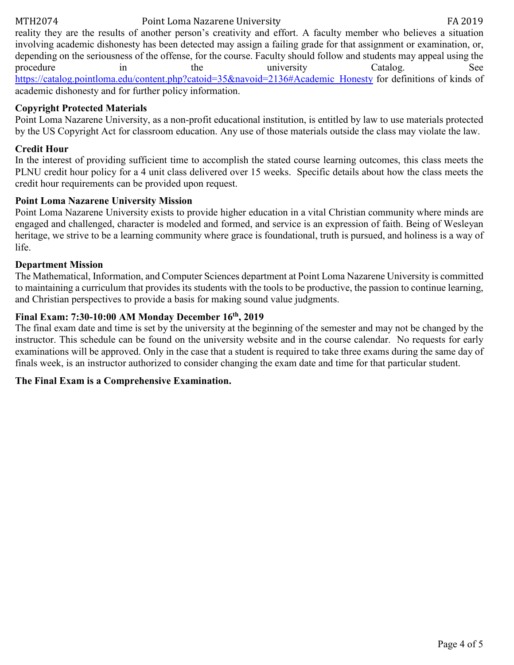### MTH2074 Point Loma Nazarene University FA 2019

reality they are the results of another person's creativity and effort. A faculty member who believes a situation involving academic dishonesty has been detected may assign a failing grade for that assignment or examination, or, depending on the seriousness of the offense, for the course. Faculty should follow and students may appeal using the procedure in the university Catalog. See [https://catalog.pointloma.edu/content.php?catoid=35&navoid=2136#Academic\\_Honesty](https://catalog.pointloma.edu/content.php?catoid=35&navoid=2136#Academic_Honesty) for definitions of kinds of academic dishonesty and for further policy information.

### **Copyright Protected Materials**

Point Loma Nazarene University, as a non-profit educational institution, is entitled by law to use materials protected by the US Copyright Act for classroom education. Any use of those materials outside the class may violate the law.

#### **Credit Hour**

In the interest of providing sufficient time to accomplish the stated course learning outcomes, this class meets the PLNU credit hour policy for a 4 unit class delivered over 15 weeks. Specific details about how the class meets the credit hour requirements can be provided upon request.

#### **Point Loma Nazarene University Mission**

Point Loma Nazarene University exists to provide higher education in a vital Christian community where minds are engaged and challenged, character is modeled and formed, and service is an expression of faith. Being of Wesleyan heritage, we strive to be a learning community where grace is foundational, truth is pursued, and holiness is a way of life.

#### **Department Mission**

The Mathematical, Information, and Computer Sciences department at Point Loma Nazarene University is committed to maintaining a curriculum that provides its students with the tools to be productive, the passion to continue learning, and Christian perspectives to provide a basis for making sound value judgments.

#### **Final Exam: 7:30-10:00 AM Monday December 16th, 2019**

The final exam date and time is set by the university at the beginning of the semester and may not be changed by the instructor. This schedule can be found on the university website and in the course calendar. No requests for early examinations will be approved. Only in the case that a student is required to take three exams during the same day of finals week, is an instructor authorized to consider changing the exam date and time for that particular student.

#### **The Final Exam is a Comprehensive Examination.**